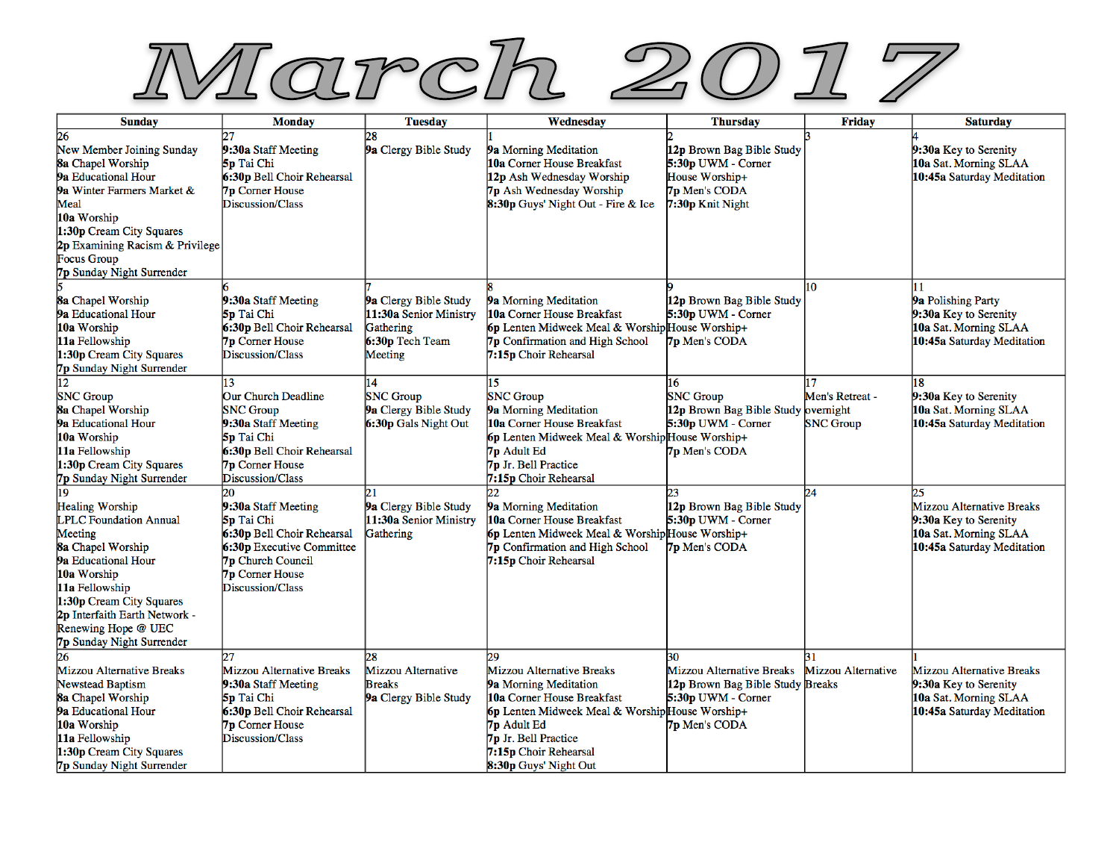

| <b>Sunday</b>                                                                                                                                                                                                                                                          | <b>Monday</b>                                                                                                                                                                | <b>Tuesday</b>                                                                             | Wednesday                                                                                                                                                                                                                          | <b>Thursday</b>                                                                                             | <b>Friday</b>                       | <b>Saturday</b>                                                                                                 |
|------------------------------------------------------------------------------------------------------------------------------------------------------------------------------------------------------------------------------------------------------------------------|------------------------------------------------------------------------------------------------------------------------------------------------------------------------------|--------------------------------------------------------------------------------------------|------------------------------------------------------------------------------------------------------------------------------------------------------------------------------------------------------------------------------------|-------------------------------------------------------------------------------------------------------------|-------------------------------------|-----------------------------------------------------------------------------------------------------------------|
| 26<br>New Member Joining Sunday<br>8a Chapel Worship<br>9a Educational Hour<br>9a Winter Farmers Market &<br>Meal<br>10a Worship<br>1:30p Cream City Squares<br>2p Examining Racism & Privilege<br>Focus Group<br><b>7p Sunday Night Surrender</b>                     | 9:30a Staff Meeting<br>5p Tai Chi<br>6:30p Bell Choir Rehearsal<br><b>7p</b> Corner House<br>Discussion/Class                                                                | 28<br>9a Clergy Bible Study                                                                | 9a Morning Meditation<br>10a Corner House Breakfast<br>12p Ash Wednesday Worship<br>7p Ash Wednesday Worship<br>8:30p Guys' Night Out - Fire & Ice                                                                                 | 12p Brown Bag Bible Study<br>5:30p UWM - Corner<br>House Worship+<br>7p Men's CODA<br>7:30p Knit Night      |                                     | 9:30a Key to Serenity<br>10a Sat. Morning SLAA<br>10:45a Saturday Meditation                                    |
| 8a Chapel Worship<br>9a Educational Hour<br>10a Worship<br>11a Fellowship<br>1:30p Cream City Squares<br>7p Sunday Night Surrender                                                                                                                                     | 9:30a Staff Meeting<br>5p Tai Chi<br>6:30p Bell Choir Rehearsal<br><b>7p</b> Corner House<br>Discussion/Class                                                                | 9a Clergy Bible Study<br>11:30a Senior Ministry<br>Gathering<br>6:30p Tech Team<br>Meeting | 9a Morning Meditation<br>10a Corner House Breakfast<br>6p Lenten Midweek Meal & Worship House Worship+<br>7p Confirmation and High School<br>7:15p Choir Rehearsal                                                                 | 12p Brown Bag Bible Study<br>5:30p UWM - Corner<br>7p Men's CODA                                            | 10                                  | 9a Polishing Party<br>9:30a Key to Serenity<br>10a Sat. Morning SLAA<br>10:45a Saturday Meditation              |
| 12<br><b>SNC</b> Group<br>8a Chapel Worship<br>9a Educational Hour<br>10a Worship<br>11a Fellowship<br>1:30p Cream City Squares<br><b>7p Sunday Night Surrender</b>                                                                                                    | 13<br><b>Our Church Deadline</b><br><b>SNC</b> Group<br>9:30a Staff Meeting<br>5p Tai Chi<br>6:30p Bell Choir Rehearsal<br><b>7p</b> Corner House<br>Discussion/Class        | 14<br><b>SNC</b> Group<br>9a Clergy Bible Study<br>6:30p Gals Night Out                    | 15<br><b>SNC</b> Group<br>9a Morning Meditation<br>10a Corner House Breakfast<br>6p Lenten Midweek Meal & Worship House Worship+<br>7p Adult Ed<br>7p Jr. Bell Practice<br>7:15p Choir Rehearsal                                   | 16<br><b>SNC Group</b><br>12p Brown Bag Bible Study overnight<br>5:30p UWM - Corner<br><b>7p Men's CODA</b> | Men's Retreat -<br><b>SNC Group</b> | 18<br>9:30a Key to Serenity<br>10a Sat. Morning SLAA<br>10:45a Saturday Meditation                              |
| 19<br><b>Healing Worship</b><br><b>LPLC Foundation Annual</b><br>Meeting<br>8a Chapel Worship<br>9a Educational Hour<br>10a Worship<br>11a Fellowship<br>1:30p Cream City Squares<br>2p Interfaith Earth Network -<br>Renewing Hope @ UEC<br>7p Sunday Night Surrender | 20<br>9:30a Staff Meeting<br>5p Tai Chi<br>6:30p Bell Choir Rehearsal<br>6:30p Executive Committee<br><b>7p</b> Church Council<br><b>7p Corner House</b><br>Discussion/Class | 21<br>9a Clergy Bible Study<br>11:30a Senior Ministry<br>Gathering                         | 9a Morning Meditation<br>10a Corner House Breakfast<br>6p Lenten Midweek Meal & Worship House Worship+<br>7p Confirmation and High School<br>7:15p Choir Rehearsal                                                                 | 12p Brown Bag Bible Study<br>5:30p UWM - Corner<br>7p Men's CODA                                            | 24                                  | 25<br>Mizzou Alternative Breaks<br>9:30a Key to Serenity<br>10a Sat. Morning SLAA<br>10:45a Saturday Meditation |
| 26<br>Mizzou Alternative Breaks<br><b>Newstead Baptism</b><br>8a Chapel Worship<br>9a Educational Hour<br>10a Worship<br>11a Fellowship<br>1:30p Cream City Squares<br>7p Sunday Night Surrender                                                                       | Mizzou Alternative Breaks<br>9:30a Staff Meeting<br>5p Tai Chi<br>6:30p Bell Choir Rehearsal<br><b>7p Corner House</b><br>Discussion/Class                                   | 28<br>Mizzou Alternative<br><b>Breaks</b><br>9a Clergy Bible Study                         | 29<br>Mizzou Alternative Breaks<br>9a Morning Meditation<br>10a Corner House Breakfast<br>6p Lenten Midweek Meal & Worship House Worship+<br>7p Adult Ed<br>7p Jr. Bell Practice<br>7:15p Choir Rehearsal<br>8:30p Guys' Night Out | 30<br>Mizzou Alternative Breaks<br>12p Brown Bag Bible Study Breaks<br>5:30p UWM - Corner<br>7p Men's CODA  | 31<br><b>Mizzou Alternative</b>     | Mizzou Alternative Breaks<br>9:30a Key to Serenity<br>10a Sat. Morning SLAA<br>10:45a Saturday Meditation       |